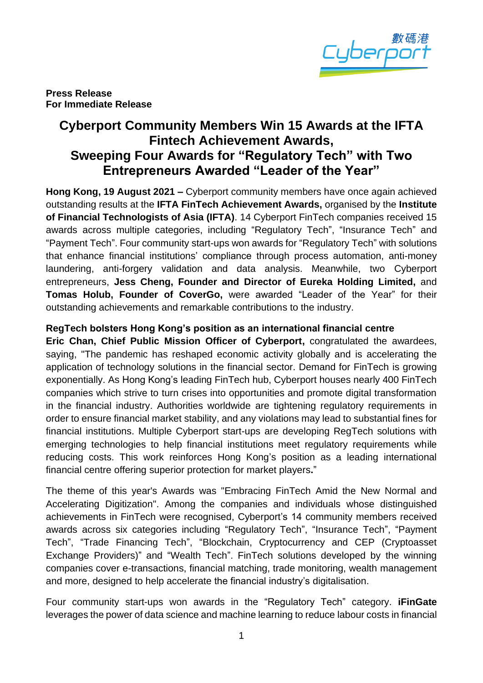

**Press Release For Immediate Release**

## **Cyberport Community Members Win 15 Awards at the IFTA Fintech Achievement Awards, Sweeping Four Awards for "Regulatory Tech" with Two Entrepreneurs Awarded "Leader of the Year"**

**Hong Kong, 19 August 2021 –** Cyberport community members have once again achieved outstanding results at the **IFTA FinTech Achievement Awards,** organised by the **Institute of Financial Technologists of Asia (IFTA)**. 14 Cyberport FinTech companies received 15 awards across multiple categories, including "Regulatory Tech", "Insurance Tech" and "Payment Tech". Four community start-ups won awards for "Regulatory Tech" with solutions that enhance financial institutions' compliance through process automation, anti-money laundering, anti-forgery validation and data analysis. Meanwhile, two Cyberport entrepreneurs, **Jess Cheng, Founder and Director of Eureka Holding Limited,** and **Tomas Holub, Founder of CoverGo,** were awarded "Leader of the Year" for their outstanding achievements and remarkable contributions to the industry.

#### **RegTech bolsters Hong Kong's position as an international financial centre**

**Eric Chan, Chief Public Mission Officer of Cyberport,** congratulated the awardees, saying, "The pandemic has reshaped economic activity globally and is accelerating the application of technology solutions in the financial sector. Demand for FinTech is growing exponentially. As Hong Kong's leading FinTech hub, Cyberport houses nearly 400 FinTech companies which strive to turn crises into opportunities and promote digital transformation in the financial industry. Authorities worldwide are tightening regulatory requirements in order to ensure financial market stability, and any violations may lead to substantial fines for financial institutions. Multiple Cyberport start-ups are developing RegTech solutions with emerging technologies to help financial institutions meet regulatory requirements while reducing costs. This work reinforces Hong Kong's position as a leading international financial centre offering superior protection for market players**.**"

The theme of this year's Awards was "Embracing FinTech Amid the New Normal and Accelerating Digitization". Among the companies and individuals whose distinguished achievements in FinTech were recognised, Cyberport's 14 community members received awards across six categories including "Regulatory Tech", "Insurance Tech", "Payment Tech", "Trade Financing Tech", "Blockchain, Cryptocurrency and CEP (Cryptoasset Exchange Providers)" and "Wealth Tech". FinTech solutions developed by the winning companies cover e-transactions, financial matching, trade monitoring, wealth management and more, designed to help accelerate the financial industry's digitalisation.

Four community start-ups won awards in the "Regulatory Tech" category. **iFinGate** leverages the power of data science and machine learning to reduce labour costs in financial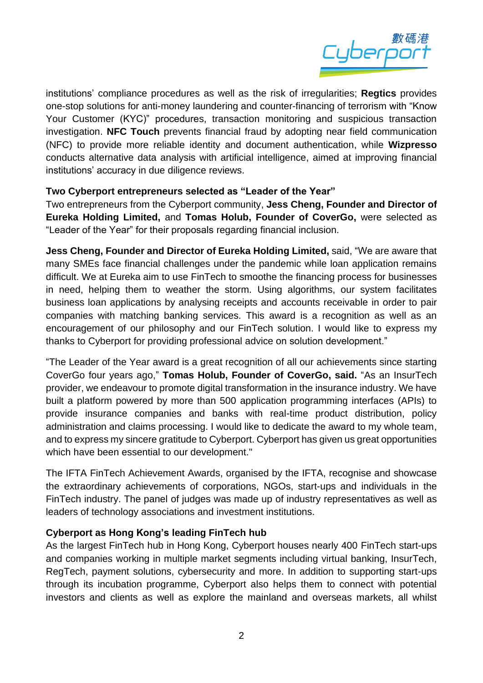

institutions' compliance procedures as well as the risk of irregularities; **Regtics** provides one-stop solutions for anti-money laundering and counter-financing of terrorism with "Know Your Customer (KYC)" procedures, transaction monitoring and suspicious transaction investigation. **NFC Touch** prevents financial fraud by adopting near field communication (NFC) to provide more reliable identity and document authentication, while **Wizpresso**  conducts alternative data analysis with artificial intelligence, aimed at improving financial institutions' accuracy in due diligence reviews.

#### **Two Cyberport entrepreneurs selected as "Leader of the Year"**

Two entrepreneurs from the Cyberport community, **Jess Cheng, Founder and Director of Eureka Holding Limited,** and **Tomas Holub, Founder of CoverGo,** were selected as "Leader of the Year" for their proposals regarding financial inclusion.

**Jess Cheng, Founder and Director of Eureka Holding Limited,** said, "We are aware that many SMEs face financial challenges under the pandemic while loan application remains difficult. We at Eureka aim to use FinTech to smoothe the financing process for businesses in need, helping them to weather the storm. Using algorithms, our system facilitates business loan applications by analysing receipts and accounts receivable in order to pair companies with matching banking services. This award is a recognition as well as an encouragement of our philosophy and our FinTech solution. I would like to express my thanks to Cyberport for providing professional advice on solution development."

"The Leader of the Year award is a great recognition of all our achievements since starting CoverGo four years ago," **Tomas Holub, Founder of CoverGo, said.** "As an InsurTech provider, we endeavour to promote digital transformation in the insurance industry. We have built a platform powered by more than 500 application programming interfaces (APIs) to provide insurance companies and banks with real-time product distribution, policy administration and claims processing. I would like to dedicate the award to my whole team, and to express my sincere gratitude to Cyberport. Cyberport has given us great opportunities which have been essential to our development."

The IFTA FinTech Achievement Awards, organised by the IFTA, recognise and showcase the extraordinary achievements of corporations, NGOs, start-ups and individuals in the FinTech industry. The panel of judges was made up of industry representatives as well as leaders of technology associations and investment institutions.

#### **Cyberport as Hong Kong's leading FinTech hub**

As the largest FinTech hub in Hong Kong, Cyberport houses nearly 400 FinTech start-ups and companies working in multiple market segments including virtual banking, InsurTech, RegTech, payment solutions, cybersecurity and more. In addition to supporting start-ups through its incubation programme, Cyberport also helps them to connect with potential investors and clients as well as explore the mainland and overseas markets, all whilst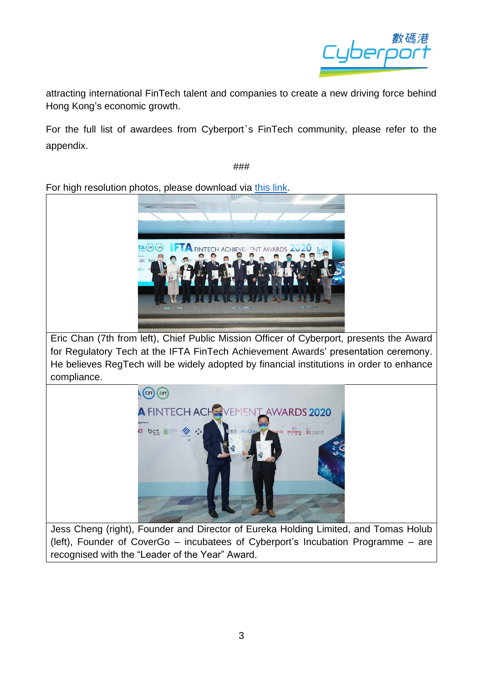

attracting international FinTech talent and companies to create a new driving force behind Hong Kong's economic growth.

For the full list of awardees from Cyberport's FinTech community, please refer to the appendix.

###

For high resolution photos, please download via [this link.](https://drive.google.com/drive/folders/1yjMsbegwRcCfdFRGDHqOjEfq842MVZNa?usp=sharing)



Eric Chan (7th from left), Chief Public Mission Officer of Cyberport, presents the Award for Regulatory Tech at the IFTA FinTech Achievement Awards' presentation ceremony. He believes RegTech will be widely adopted by financial institutions in order to enhance compliance.



Jess Cheng (right), Founder and Director of Eureka Holding Limited, and Tomas Holub (left), Founder of CoverGo – incubatees of Cyberport's Incubation Programme – are recognised with the "Leader of the Year" Award.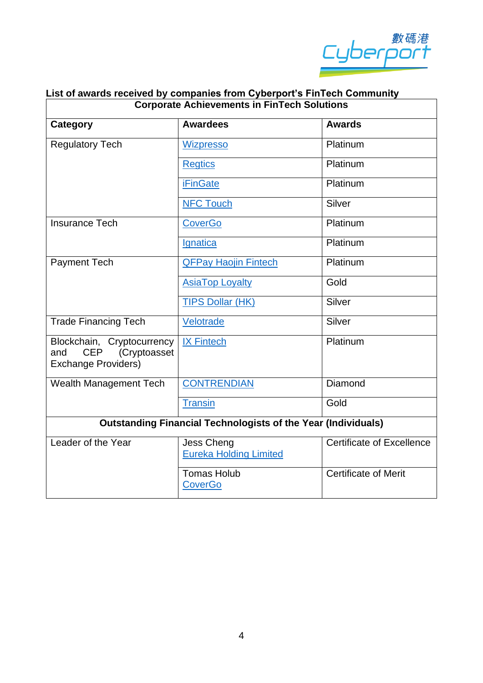

| ast or awards received by companies from oyberport surfriedir community.<br><b>Corporate Achievements in FinTech Solutions</b> |                                                    |                                  |
|--------------------------------------------------------------------------------------------------------------------------------|----------------------------------------------------|----------------------------------|
| Category                                                                                                                       | <b>Awardees</b>                                    | <b>Awards</b>                    |
| Regulatory Tech                                                                                                                | <b>Wizpresso</b>                                   | Platinum                         |
|                                                                                                                                | <b>Regtics</b>                                     | Platinum                         |
|                                                                                                                                | <b>iFinGate</b>                                    | Platinum                         |
|                                                                                                                                | <b>NFC Touch</b>                                   | Silver                           |
| <b>Insurance Tech</b>                                                                                                          | <b>CoverGo</b>                                     | Platinum                         |
|                                                                                                                                | Ignatica                                           | Platinum                         |
| <b>Payment Tech</b>                                                                                                            | <b>QFPay Haojin Fintech</b>                        | Platinum                         |
|                                                                                                                                | <b>AsiaTop Loyalty</b>                             | Gold                             |
|                                                                                                                                | <b>TIPS Dollar (HK)</b>                            | Silver                           |
| <b>Trade Financing Tech</b>                                                                                                    | Velotrade                                          | <b>Silver</b>                    |
| Blockchain, Cryptocurrency<br><b>CEP</b><br>(Cryptoasset<br>and<br><b>Exchange Providers)</b>                                  | <b>IX Fintech</b>                                  | Platinum                         |
| Wealth Management Tech                                                                                                         | <b>CONTRENDIAN</b>                                 | Diamond                          |
|                                                                                                                                | <b>Transin</b>                                     | Gold                             |
| <b>Outstanding Financial Technologists of the Year (Individuals)</b>                                                           |                                                    |                                  |
| Leader of the Year                                                                                                             | <b>Jess Cheng</b><br><b>Eureka Holding Limited</b> | <b>Certificate of Excellence</b> |
|                                                                                                                                | <b>Tomas Holub</b><br><b>CoverGo</b>               | <b>Certificate of Merit</b>      |

# **List of awards received by companies from Cyberport's FinTech Community**